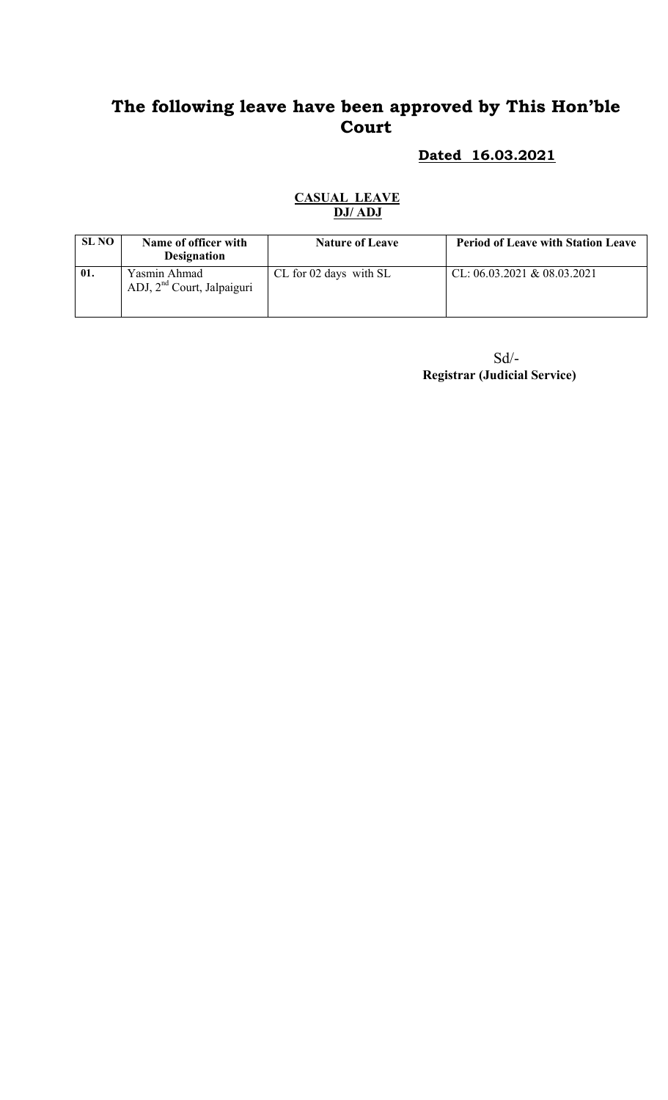# Dated 16.03.2021

| <b>SL NO</b> | Name of officer with<br><b>Designation</b>             | <b>Nature of Leave</b> | <b>Period of Leave with Station Leave</b> |
|--------------|--------------------------------------------------------|------------------------|-------------------------------------------|
| 01.          | Yasmin Ahmad<br>ADJ, 2 <sup>nd</sup> Court, Jalpaiguri | CL for 02 days with SL | CL: $06.03.2021 \& 08.03.2021$            |

#### CASUAL LEAVE DJ/ ADJ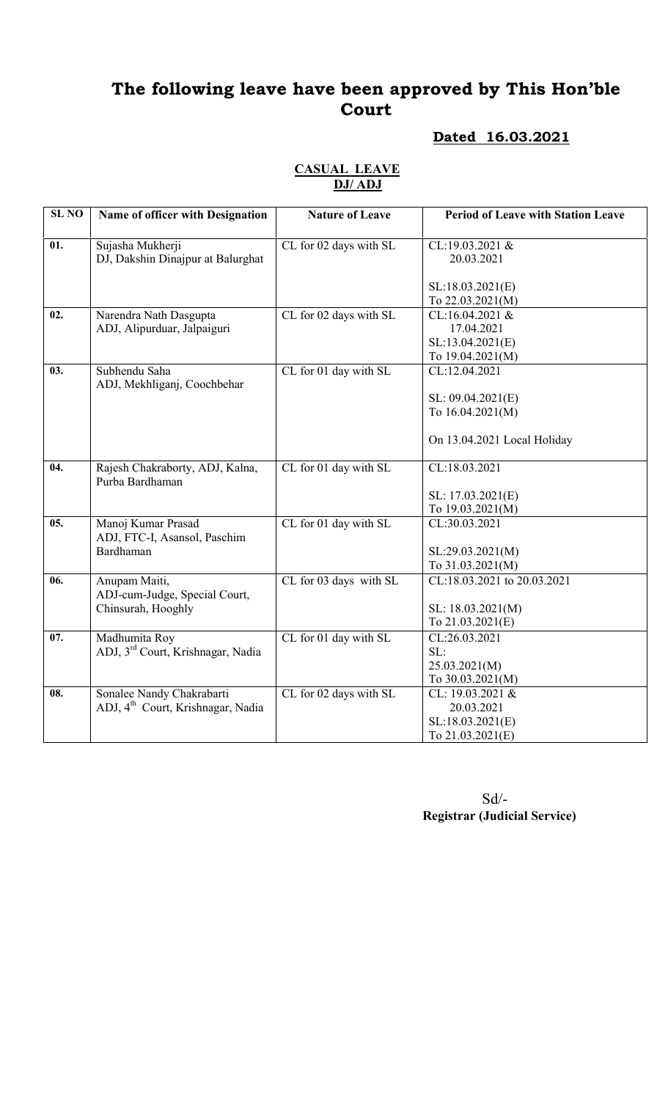### Dated 16.03.2021

| <b>SL NO</b> | Name of officer with Designation                   | <b>Nature of Leave</b> | <b>Period of Leave with Station Leave</b> |
|--------------|----------------------------------------------------|------------------------|-------------------------------------------|
|              |                                                    |                        |                                           |
| 01.          | Sujasha Mukherji                                   | CL for 02 days with SL | CL:19.03.2021 &                           |
|              | DJ, Dakshin Dinajpur at Balurghat                  |                        | 20.03.2021                                |
|              |                                                    |                        | SL:18.03.2021(E)                          |
|              |                                                    |                        | To 22.03.2021(M)                          |
| 02.          | Narendra Nath Dasgupta                             | CL for 02 days with SL | CL:16.04.2021 &                           |
|              | ADJ, Alipurduar, Jalpaiguri                        |                        | 17.04.2021                                |
|              |                                                    |                        | SL:13.04.2021(E)                          |
|              |                                                    |                        | To 19.04.2021(M)                          |
| 03.          | Subhendu Saha<br>ADJ, Mekhliganj, Coochbehar       | CL for 01 day with SL  | CL:12.04.2021                             |
|              |                                                    |                        | SL: 09.04.2021(E)                         |
|              |                                                    |                        | To 16.04.2021(M)                          |
|              |                                                    |                        |                                           |
|              |                                                    |                        | On 13.04.2021 Local Holiday               |
|              |                                                    |                        |                                           |
| 04.          | Rajesh Chakraborty, ADJ, Kalna,<br>Purba Bardhaman | CL for 01 day with SL  | CL:18.03.2021                             |
|              |                                                    |                        | SL: 17.03.2021(E)                         |
|              |                                                    |                        | To 19.03.2021(M)                          |
| 05.          | Manoj Kumar Prasad                                 | CL for 01 day with SL  | CL:30.03.2021                             |
|              | ADJ, FTC-I, Asansol, Paschim                       |                        |                                           |
|              | Bardhaman                                          |                        | SL:29.03.2021(M)                          |
|              |                                                    |                        | To 31.03.2021(M)                          |
| 06.          | Anupam Maiti,                                      | CL for 03 days with SL | CL:18.03.2021 to 20.03.2021               |
|              | ADJ-cum-Judge, Special Court,                      |                        |                                           |
|              | Chinsurah, Hooghly                                 |                        | SL: 18.03.2021(M)                         |
|              |                                                    |                        | To 21.03.2021(E)                          |
| 07.          | Madhumita Roy                                      | CL for 01 day with SL  | CL:26.03.2021                             |
|              | ADJ, 3 <sup>rd</sup> Court, Krishnagar, Nadia      |                        | SL:                                       |
|              |                                                    |                        | 25.03.2021(M)                             |
|              |                                                    |                        | To 30.03.2021(M)                          |
| 08.          | Sonalee Nandy Chakrabarti                          | CL for 02 days with SL | CL: 19.03.2021 &                          |
|              | ADJ, 4 <sup>th</sup> Court, Krishnagar, Nadia      |                        | 20.03.2021                                |
|              |                                                    |                        | SL:18.03.2021(E)                          |
|              |                                                    |                        | To 21.03.2021(E)                          |

#### CASUAL LEAVE DJ/ ADJ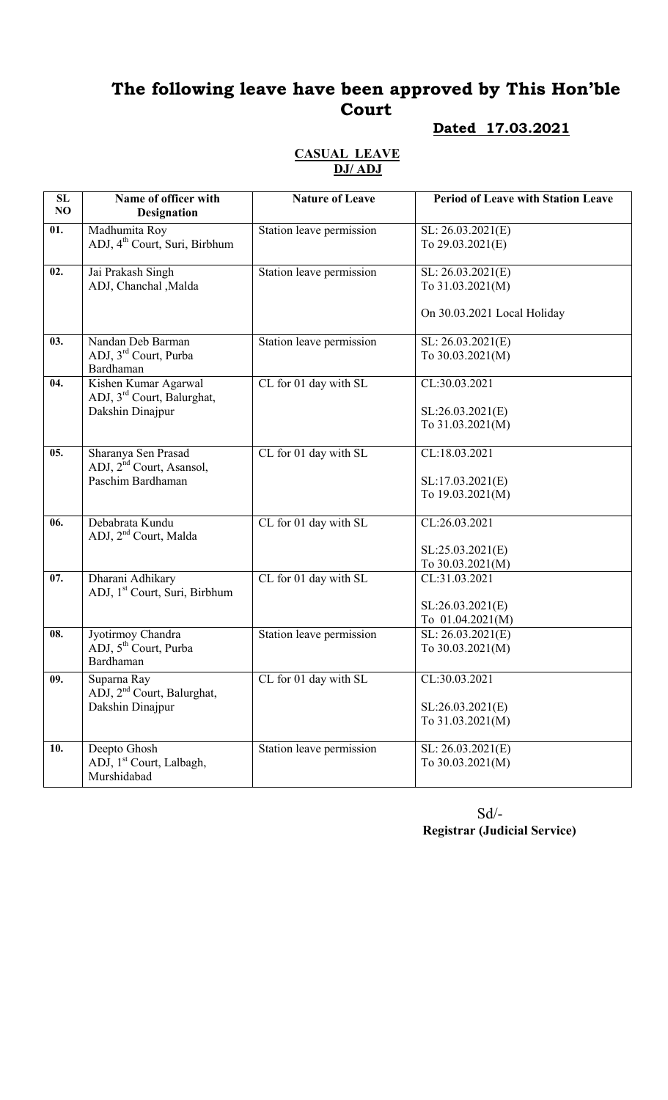### Dated 17.03.2021

#### CASUAL LEAVE DJ/ ADJ

| SL<br>NO | Name of officer with                                       | <b>Nature of Leave</b>   | <b>Period of Leave with Station Leave</b> |
|----------|------------------------------------------------------------|--------------------------|-------------------------------------------|
|          | <b>Designation</b>                                         |                          |                                           |
| 01.      | Madhumita Roy                                              | Station leave permission | SL: 26.03.2021(E)                         |
|          | ADJ, 4 <sup>th</sup> Court, Suri, Birbhum                  |                          | To 29.03.2021(E)                          |
| 02.      | Jai Prakash Singh                                          | Station leave permission | SL: 26.03.2021(E)                         |
|          | ADJ, Chanchal , Malda                                      |                          | To 31.03.2021(M)                          |
|          |                                                            |                          |                                           |
|          |                                                            |                          | On 30.03.2021 Local Holiday               |
|          |                                                            |                          |                                           |
| 03.      | Nandan Deb Barman                                          | Station leave permission | SL: 26.03.2021(E)                         |
|          | ADJ, 3rd Court, Purba                                      |                          | To 30.03.2021(M)                          |
|          | Bardhaman                                                  |                          |                                           |
| 04.      | Kishen Kumar Agarwal                                       | CL for 01 day with SL    | CL:30.03.2021                             |
|          | ADJ, 3 <sup>rd</sup> Court, Balurghat,<br>Dakshin Dinajpur |                          | SL:26.03.2021(E)                          |
|          |                                                            |                          | To 31.03.2021(M)                          |
|          |                                                            |                          |                                           |
| 05.      | Sharanya Sen Prasad                                        | CL for 01 day with SL    | CL:18.03.2021                             |
|          | ADJ, 2 <sup>nd</sup> Court, Asansol,                       |                          |                                           |
|          | Paschim Bardhaman                                          |                          | SL:17.03.2021(E)                          |
|          |                                                            |                          | To 19.03.2021(M)                          |
|          |                                                            |                          |                                           |
| 06.      | Debabrata Kundu                                            | CL for 01 day with SL    | CL:26.03.2021                             |
|          | ADJ, 2 <sup>nd</sup> Court, Malda                          |                          |                                           |
|          |                                                            |                          | SL:25.03.2021(E)                          |
| 07.      | Dharani Adhikary                                           | CL for 01 day with SL    | To 30.03.2021(M)<br>CL:31.03.2021         |
|          | ADJ, 1 <sup>st</sup> Court, Suri, Birbhum                  |                          |                                           |
|          |                                                            |                          | SL:26.03.2021(E)                          |
|          |                                                            |                          | To $01.04.2021(M)$                        |
| 08.      | Jyotirmoy Chandra                                          | Station leave permission | SL: 26.03.2021(E)                         |
|          | ADJ, 5 <sup>th</sup> Court, Purba                          |                          | To 30.03.2021(M)                          |
|          | Bardhaman                                                  |                          |                                           |
| 09.      | Suparna Ray                                                | CL for 01 day with SL    | CL:30.03.2021                             |
|          | ADJ, 2 <sup>nd</sup> Court, Balurghat,                     |                          |                                           |
|          | Dakshin Dinajpur                                           |                          | SL:26.03.2021(E)                          |
|          |                                                            |                          | To 31.03.2021(M)                          |
|          |                                                            |                          |                                           |
| 10.      | Deepto Ghosh                                               | Station leave permission | SL: 26.03.2021(E)                         |
|          | ADJ, 1 <sup>st</sup> Court, Lalbagh,<br>Murshidabad        |                          | To 30.03.2021(M)                          |
|          |                                                            |                          |                                           |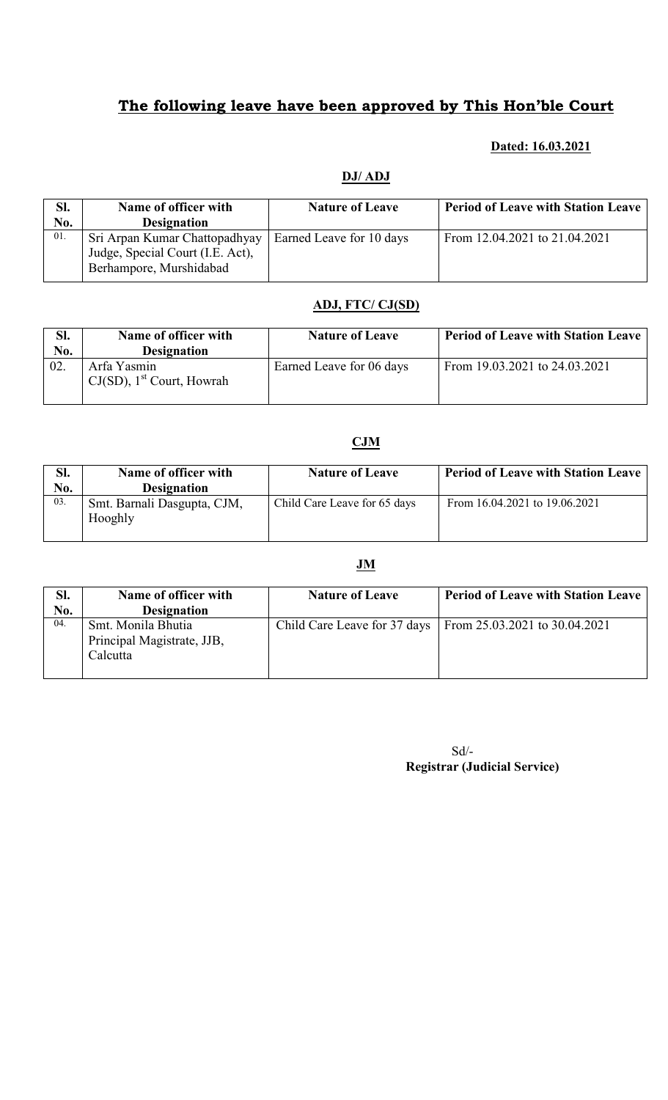#### Dated: 16.03.2021

#### DJ/ ADJ

| SI. | Name of officer with             | <b>Nature of Leave</b>   | <b>Period of Leave with Station Leave</b> |
|-----|----------------------------------|--------------------------|-------------------------------------------|
| No. | <b>Designation</b>               |                          |                                           |
| 01. | Sri Arpan Kumar Chattopadhyay    | Earned Leave for 10 days | From 12.04.2021 to 21.04.2021             |
|     | Judge, Special Court (I.E. Act), |                          |                                           |
|     | Berhampore, Murshidabad          |                          |                                           |

#### ADJ, FTC/ CJ(SD)

| SI.<br>No. | Name of officer with<br><b>Designation</b>              | <b>Nature of Leave</b>   | <b>Period of Leave with Station Leave</b> |
|------------|---------------------------------------------------------|--------------------------|-------------------------------------------|
| 02.        | Arfa Yasmin<br>$CJ(SD)$ , 1 <sup>st</sup> Court, Howrah | Earned Leave for 06 days | From 19.03.2021 to 24.03.2021             |

### CJM

| SI.<br>No. | Name of officer with<br><b>Designation</b> | <b>Nature of Leave</b>       | <b>Period of Leave with Station Leave</b> |
|------------|--------------------------------------------|------------------------------|-------------------------------------------|
| 03.        | Smt. Barnali Dasgupta, CJM,<br>Hooghly     | Child Care Leave for 65 days | From 16.04.2021 to 19.06.2021             |

### JM

| SI. | Name of officer with                                         | <b>Nature of Leave</b>       | <b>Period of Leave with Station Leave</b> |
|-----|--------------------------------------------------------------|------------------------------|-------------------------------------------|
| No. | <b>Designation</b>                                           |                              |                                           |
| 04. | Smt. Monila Bhutia<br>Principal Magistrate, JJB,<br>Calcutta | Child Care Leave for 37 days | From $25.03.2021$ to $30.04.2021$         |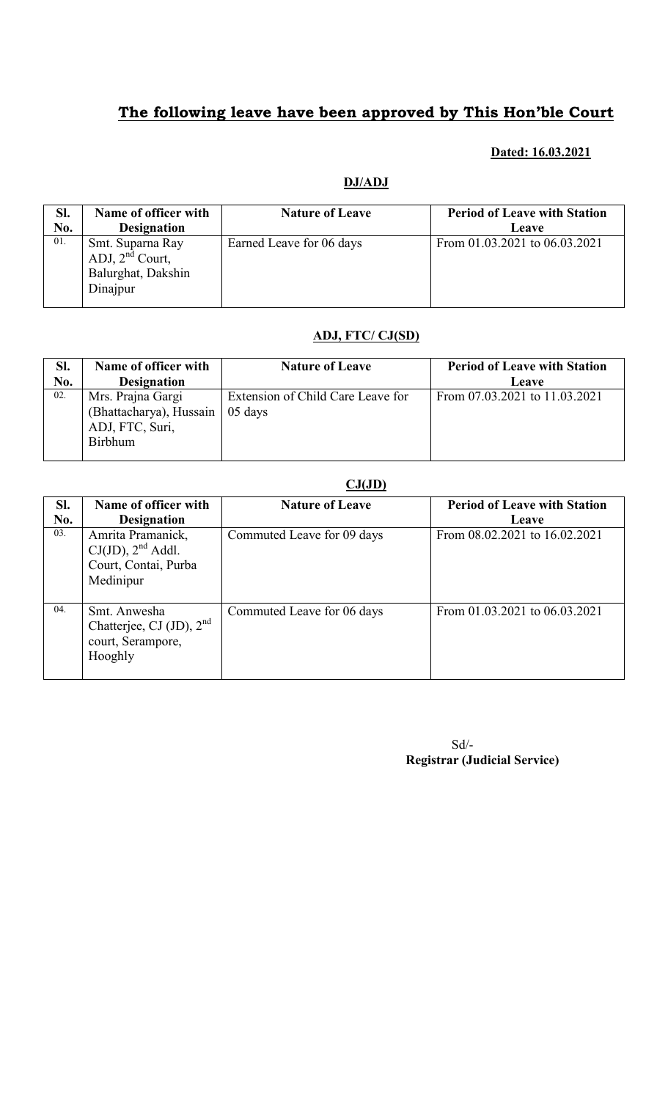### Dated: 16.03.2021

#### DJ/ADJ

| Sl. | Name of officer with                                                       | <b>Nature of Leave</b>   | <b>Period of Leave with Station</b> |
|-----|----------------------------------------------------------------------------|--------------------------|-------------------------------------|
| No. | <b>Designation</b>                                                         |                          | Leave                               |
| 01. | Smt. Suparna Ray<br>ADJ, $2^{nd}$ Court,<br>Balurghat, Dakshin<br>Dinajpur | Earned Leave for 06 days | From 01.03.2021 to 06.03.2021       |

#### ADJ, FTC/ CJ(SD)

| SI. | Name of officer with                                                              | <b>Nature of Leave</b>                       | <b>Period of Leave with Station</b> |
|-----|-----------------------------------------------------------------------------------|----------------------------------------------|-------------------------------------|
| No. | <b>Designation</b>                                                                |                                              | Leave                               |
| 02. | Mrs. Prajna Gargi<br>(Bhattacharya), Hussain<br>ADJ, FTC, Suri,<br><b>Birbhum</b> | Extension of Child Care Leave for<br>05 days | From 07.03.2021 to 11.03.2021       |

|            |                                                                                  | CJ(JD)                     |                                              |
|------------|----------------------------------------------------------------------------------|----------------------------|----------------------------------------------|
| Sl.<br>No. | Name of officer with<br><b>Designation</b>                                       | <b>Nature of Leave</b>     | <b>Period of Leave with Station</b><br>Leave |
| 03.        | Amrita Pramanick,<br>$CJ(JD)$ , $2nd$ Addl.<br>Court, Contai, Purba<br>Medinipur | Commuted Leave for 09 days | From 08.02.2021 to 16.02.2021                |
| 04.        | Smt. Anwesha<br>Chatterjee, CJ (JD), $2nd$<br>court, Serampore,<br>Hooghly       | Commuted Leave for 06 days | From 01.03.2021 to 06.03.2021                |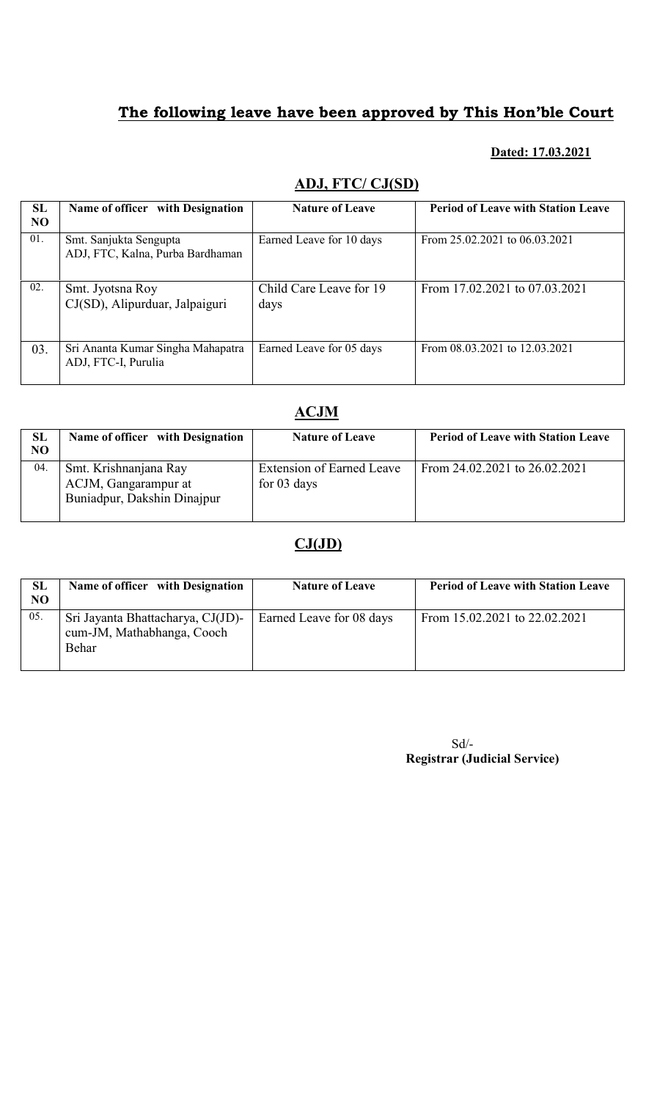### Dated: 17.03.2021

| SL<br><b>NO</b> | Name of officer with Designation                           | <b>Nature of Leave</b>          | <b>Period of Leave with Station Leave</b> |
|-----------------|------------------------------------------------------------|---------------------------------|-------------------------------------------|
| 01.             | Smt. Sanjukta Sengupta<br>ADJ, FTC, Kalna, Purba Bardhaman | Earned Leave for 10 days        | From 25.02.2021 to 06.03.2021             |
| 02.             | Smt. Jyotsna Roy<br>CJ(SD), Alipurduar, Jalpaiguri         | Child Care Leave for 19<br>days | From 17.02.2021 to 07.03.2021             |
| 03.             | Sri Ananta Kumar Singha Mahapatra<br>ADJ, FTC-I, Purulia   | Earned Leave for 05 days        | From 08.03.2021 to 12.03.2021             |

## ADJ, FTC/ CJ(SD)

### ACJM

| SL<br>NO | Name of officer with Designation                                             | <b>Nature of Leave</b>                     | <b>Period of Leave with Station Leave</b> |
|----------|------------------------------------------------------------------------------|--------------------------------------------|-------------------------------------------|
| 04.      | Smt. Krishnanjana Ray<br>ACJM, Gangarampur at<br>Buniadpur, Dakshin Dinajpur | Extension of Earned Leave<br>for $03$ days | From 24.02.2021 to 26.02.2021             |

### CJ(JD)

| SL<br>NO. | Name of officer with Designation                                         | <b>Nature of Leave</b>   | <b>Period of Leave with Station Leave</b> |
|-----------|--------------------------------------------------------------------------|--------------------------|-------------------------------------------|
| 05.       | Sri Jayanta Bhattacharya, CJ(JD)-<br>cum-JM, Mathabhanga, Cooch<br>Behar | Earned Leave for 08 days | From 15.02.2021 to 22.02.2021             |